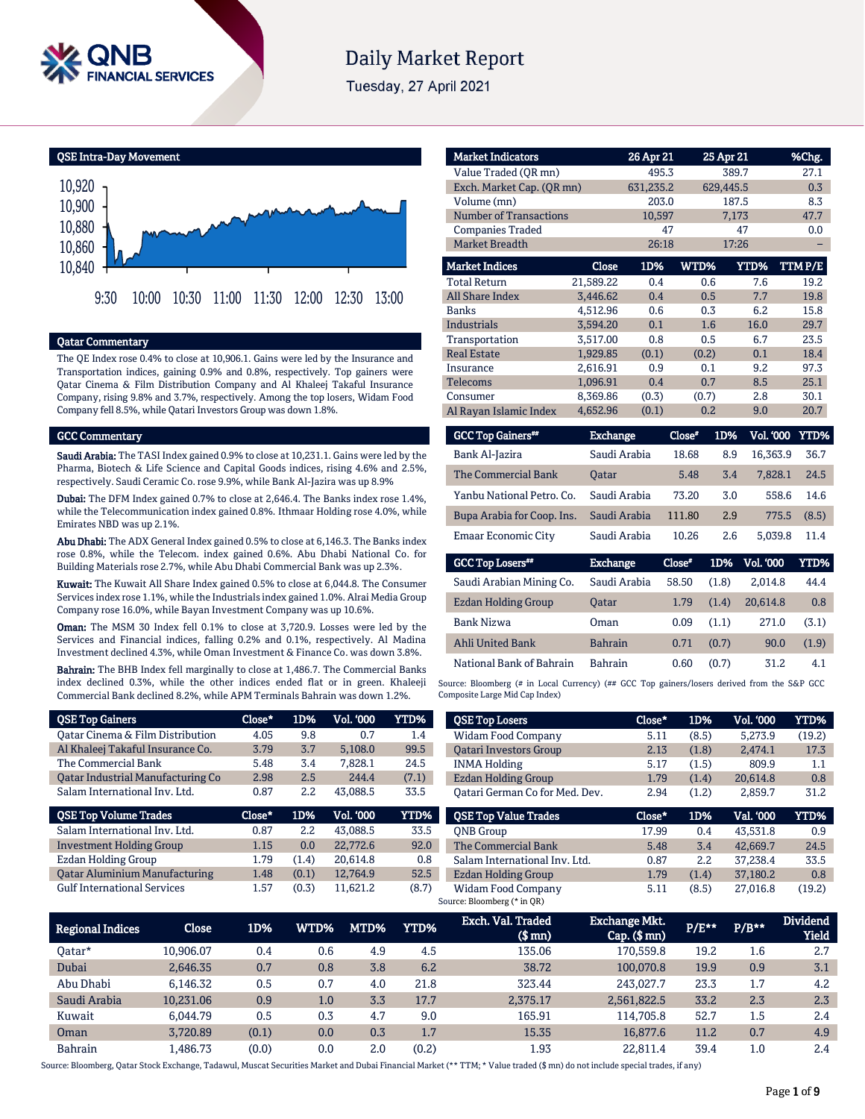

# **Daily Market Report**

Tuesday, 27 April 2021

QSE Intra-Day Movement



# Qatar Commentary

The QE Index rose 0.4% to close at 10,906.1. Gains were led by the Insurance and Transportation indices, gaining 0.9% and 0.8%, respectively. Top gainers were Qatar Cinema & Film Distribution Company and Al Khaleej Takaful Insurance Company, rising 9.8% and 3.7%, respectively. Among the top losers, Widam Food Company fell 8.5%, while Qatari Investors Group was down 1.8%.

#### GCC Commentary

Saudi Arabia: The TASI Index gained 0.9% to close at 10,231.1. Gains were led by the Pharma, Biotech & Life Science and Capital Goods indices, rising 4.6% and 2.5%, respectively. Saudi Ceramic Co. rose 9.9%, while Bank Al-Jazira was up 8.9%

Dubai: The DFM Index gained 0.7% to close at 2,646.4. The Banks index rose 1.4%, while the Telecommunication index gained 0.8%. Ithmaar Holding rose 4.0%, while Emirates NBD was up 2.1%.

Abu Dhabi: The ADX General Index gained 0.5% to close at 6,146.3. The Banks index rose 0.8%, while the Telecom. index gained 0.6%. Abu Dhabi National Co. for Building Materials rose 2.7%, while Abu Dhabi Commercial Bank was up 2.3%.

Kuwait: The Kuwait All Share Index gained 0.5% to close at 6,044.8. The Consumer Services index rose 1.1%, while the Industrials index gained 1.0%. Alrai Media Group Company rose 16.0%, while Bayan Investment Company was up 10.6%.

Oman: The MSM 30 Index fell 0.1% to close at 3,720.9. Losses were led by the Services and Financial indices, falling 0.2% and 0.1%, respectively. Al Madina Investment declined 4.3%, while Oman Investment & Finance Co. was down 3.8%.

Bahrain: The BHB Index fell marginally to close at 1,486.7. The Commercial Banks index declined 0.3%, while the other indices ended flat or in green. Khaleeji Commercial Bank declined 8.2%, while APM Terminals Bahrain was down 1.2%.

| <b>QSE Top Gainers</b>                      | Close* | 1D%   | <b>Vol. '000</b> | YTD%  |
|---------------------------------------------|--------|-------|------------------|-------|
| <b>Qatar Cinema &amp; Film Distribution</b> | 4.05   | 9.8   | 0.7              | 1.4   |
| Al Khaleej Takaful Insurance Co.            | 3.79   | 3.7   | 5.108.0          | 99.5  |
| The Commercial Bank                         | 5.48   | 3.4   | 7.828.1          | 24.5  |
| Oatar Industrial Manufacturing Co           | 2.98   | 2.5   | 244.4            | (7.1) |
| Salam International Inv. Ltd.               | 0.87   | 2.2   | 43.088.5         | 33.5  |
|                                             |        |       |                  |       |
| <b>QSE Top Volume Trades</b>                | Close* | 1D%   | Vol. '000        | YTD%  |
| Salam International Inv. Ltd.               | 0.87   | 2.2   | 43.088.5         | 33.5  |
| <b>Investment Holding Group</b>             | 1.15   | 0.0   | 22,772.6         | 92.0  |
| Ezdan Holding Group                         | 1.79   | (1.4) | 20.614.8         | 0.8   |
| <b>Qatar Aluminium Manufacturing</b>        | 1.48   | (0.1) | 12.764.9         | 52.5  |

| <b>Market Indicators</b>      |           | 26 Apr 21 |       | 25 Apr 21 | %Chg.  |
|-------------------------------|-----------|-----------|-------|-----------|--------|
| Value Traded (OR mn)          |           | 495.3     |       | 389.7     | 27.1   |
| Exch. Market Cap. (QR mn)     |           | 631,235.2 |       | 629,445.5 | 0.3    |
| Volume (mn)                   |           |           |       | 187.5     | 8.3    |
| <b>Number of Transactions</b> |           | 10,597    |       | 7,173     | 47.7   |
| <b>Companies Traded</b>       |           | 47        |       | 47        | 0.0    |
| <b>Market Breadth</b>         |           | 26:18     |       | 17:26     |        |
| <b>Market Indices</b>         | Close     | 1D%       | WTD%  | YTD%      | TTMP/E |
| <b>Total Return</b>           | 21,589.22 | 0.4       | 0.6   | 7.6       | 19.2   |
| <b>All Share Index</b>        | 3,446.62  | 0.4       | 0.5   | 7.7       | 19.8   |
| <b>Banks</b>                  | 4.512.96  | 0.6       | 0.3   | 6.2       | 15.8   |
| <b>Industrials</b>            | 3.594.20  | 0.1       | 1.6   | 16.0      | 29.7   |
| Transportation                | 3,517.00  | 0.8       | 0.5   | 6.7       | 23.5   |
| <b>Real Estate</b>            | 1,929.85  | (0.1)     | (0.2) | 0.1       | 18.4   |
| Insurance                     | 2,616.91  | 0.9       | 0.1   | 9.2       | 97.3   |
| Telecoms                      | 1.096.91  | 0.4       | 0.7   | 8.5       | 25.1   |
| Consumer                      | 8.369.86  | (0.3)     | (0.7) | 2.8       | 30.1   |
| Al Rayan Islamic Index        | 4,652.96  | (0.1)     | 0.2   | 9.0       | 20.7   |

| <b>GCC Top Gainers</b> "   | Exchange     | Close" | 1D% | <b>Vol. '000 YTD%</b> |       |
|----------------------------|--------------|--------|-----|-----------------------|-------|
| Bank Al-Jazira             | Saudi Arabia | 18.68  | 8.9 | 16.363.9              | 36.7  |
| The Commercial Bank        | <b>Oatar</b> | 5.48   | 3.4 | 7.828.1               | 24.5  |
| Yanbu National Petro, Co.  | Saudi Arabia | 73.20  | 3.0 | 558.6                 | 14.6  |
| Bupa Arabia for Coop. Ins. | Saudi Arabia | 111.80 | 2.9 | 775.5                 | (8.5) |
| Emaar Economic City        | Saudi Arabia | 10.26  | 2.6 | 5.039.8               | 11.4  |

| <b>GCC Top Losers**</b>    | <b>Exchange</b> | Close" | 1D%   | <b>Vol. '000</b> | YTD%  |
|----------------------------|-----------------|--------|-------|------------------|-------|
| Saudi Arabian Mining Co.   | Saudi Arabia    | 58.50  | (1.8) | 2.014.8          | 44.4  |
| <b>Ezdan Holding Group</b> | <b>Oatar</b>    | 1.79   | (1.4) | 20.614.8         | 0.8   |
| Bank Nizwa                 | Oman            | 0.09   | (1.1) | 271.0            | (3.1) |
| <b>Ahli United Bank</b>    | <b>Bahrain</b>  | 0.71   | (0.7) | 90.0             | (1.9) |
| National Bank of Bahrain   | <b>Bahrain</b>  | 0.60   | (0.7) | 31.2             | 4.1   |

Source: Bloomberg (# in Local Currency) (## GCC Top gainers/losers derived from the S&P GCC Composite Large Mid Cap Index)

| <b>QSE Top Losers</b>          | Close* | 1D%   | Vol. '000 | YTD%   |
|--------------------------------|--------|-------|-----------|--------|
| Widam Food Company             | 5.11   | (8.5) | 5.273.9   | (19.2) |
| <b>Oatari Investors Group</b>  | 2.13   | (1.8) | 2,474.1   | 17.3   |
| <b>INMA Holding</b>            | 5.17   | (1.5) | 809.9     | 1.1    |
| Ezdan Holding Group            | 1.79   | (1.4) | 20.614.8  | 0.8    |
| Oatari German Co for Med. Dev. | 2.94   | (1.2) | 2,859.7   | 31.2   |
|                                |        |       |           |        |
| <b>QSE Top Value Trades</b>    | Close* | 1D%   | Val. '000 | YTD%   |
| <b>ONB</b> Group               | 17.99  | 0.4   | 43.531.8  | 0.9    |
| The Commercial Bank            | 5.48   | 3.4   | 42.669.7  | 24.5   |
| Salam International Inv. Ltd.  | 0.87   | 2.2   | 37.238.4  | 33.5   |
| Ezdan Holding Group            | 1.79   | (1.4) | 37,180.2  | 0.8    |

| <b>Regional Indices</b> | Close     | 1D%   | WTD% | MTD% | <b>YTD%</b> | Exch. Val. Traded<br>$$$ mm $)$ | <b>Exchange Mkt.</b><br>$Cap.$ ( $$mn)$ | $P/E***$ | $P/B**$ | <b>Dividend</b><br><b>Yield</b> |
|-------------------------|-----------|-------|------|------|-------------|---------------------------------|-----------------------------------------|----------|---------|---------------------------------|
| Oatar*                  | 10.906.07 | 0.4   | 0.6  | 4.9  | 4.5         | 135.06                          | 170.559.8                               | 19.2     | 1.6     | 2.7                             |
| Dubai                   | 2.646.35  | 0.7   | 0.8  | 3.8  | 6.2         | 38.72                           | 100.070.8                               | 19.9     | 0.9     | 3.1                             |
| Abu Dhabi               | 6.146.32  | 0.5   | 0.7  | 4.0  | 21.8        | 323.44                          | 243,027.7                               | 23.3     | 1.7     | 4.2                             |
| Saudi Arabia            | 10.231.06 | 0.9   | 1.0  | 3.3  | 17.7        | 2,375.17                        | 2,561,822.5                             | 33.2     | 2.3     | 2.3                             |
| Kuwait                  | 6.044.79  | 0.5   | 0.3  | 4.7  | 9.0         | 165.91                          | 114.705.8                               | 52.7     | 1.5     | 2.4                             |
| Oman                    | 3.720.89  | (0.1) | 0.0  | 0.3  | 1.7         | 15.35                           | 16,877.6                                | 11.2     | 0.7     | 4.9                             |
| <b>Bahrain</b>          | L.486.73  | (0.0) | 0.0  | 2.0  | (0.2)       | 1.93                            | 22.811.4                                | 39.4     | $1.0\,$ | 2.4                             |

Source: Bloomberg, Qatar Stock Exchange, Tadawul, Muscat Securities Market and Dubai Financial Market (\*\* TTM; \* Value traded (\$ mn) do not include special trades, if any)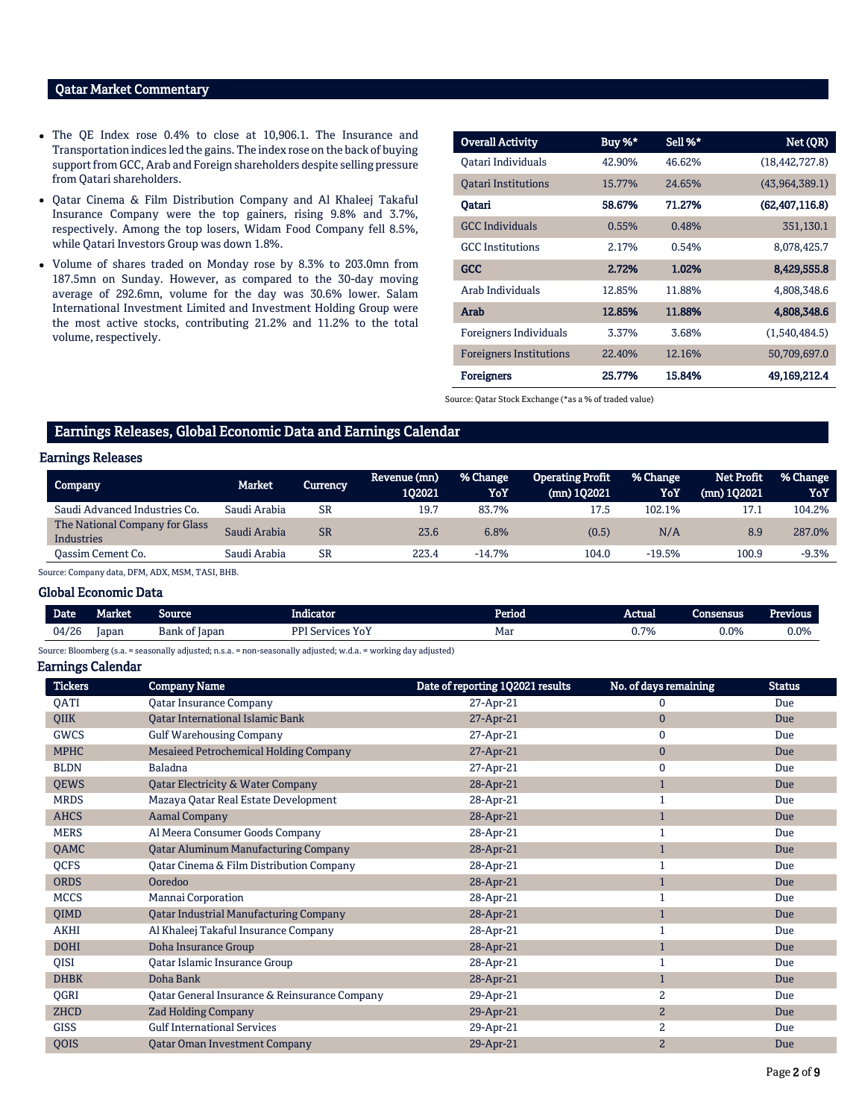# Qatar Market Commentary

- The QE Index rose 0.4% to close at 10,906.1. The Insurance and Transportation indices led the gains. The index rose on the back of buying support from GCC, Arab and Foreign shareholders despite selling pressure from Qatari shareholders.
- Qatar Cinema & Film Distribution Company and Al Khaleej Takaful Insurance Company were the top gainers, rising 9.8% and 3.7%, respectively. Among the top losers, Widam Food Company fell 8.5%, while Qatari Investors Group was down 1.8%.
- Volume of shares traded on Monday rose by 8.3% to 203.0mn from 187.5mn on Sunday. However, as compared to the 30-day moving average of 292.6mn, volume for the day was 30.6% lower. Salam International Investment Limited and Investment Holding Group were the most active stocks, contributing 21.2% and 11.2% to the total volume, respectively.

| <b>Overall Activity</b>        | Buy %* | Sell %* | Net (QR)         |
|--------------------------------|--------|---------|------------------|
| Oatari Individuals             | 42.90% | 46.62%  | (18, 442, 727.8) |
| <b>Oatari Institutions</b>     | 15.77% | 24.65%  | (43,964,389.1)   |
| Oatari                         | 58.67% | 71.27%  | (62, 407, 116.8) |
| <b>GCC</b> Individuals         | 0.55%  | 0.48%   | 351,130.1        |
| <b>GCC</b> Institutions        | 2.17%  | 0.54%   | 8,078,425.7      |
| <b>GCC</b>                     | 2.72%  | 1.02%   | 8,429,555.8      |
| Arab Individuals               | 12.85% | 11.88%  | 4,808,348.6      |
| Arab                           | 12.85% | 11.88%  | 4,808,348.6      |
| Foreigners Individuals         | 3.37%  | 3.68%   | (1,540,484.5)    |
| <b>Foreigners Institutions</b> | 22.40% | 12.16%  | 50,709,697.0     |
| <b>Foreigners</b>              | 25.77% | 15.84%  | 49,169,212.4     |

Source: Qatar Stock Exchange (\*as a % of traded value)

# Earnings Releases, Global Economic Data and Earnings Calendar

### Earnings Releases

| Company                                             | Market       | Currency  | Revenue (mn)<br>102021 | % Change<br>YoY | <b>Operating Profit</b><br>$(mn)$ 102021 | % Change<br>YoY. | Net Profit<br>$(mn)$ 102021 | % Change<br>YoY |
|-----------------------------------------------------|--------------|-----------|------------------------|-----------------|------------------------------------------|------------------|-----------------------------|-----------------|
| Saudi Advanced Industries Co.                       | Saudi Arabia | SR        | 19.7                   | 83.7%           | 17.5                                     | 102.1%           |                             | 104.2%          |
| The National Company for Glass<br><b>Industries</b> | Saudi Arabia | <b>SR</b> | 23.6                   | 6.8%            | (0.5)                                    | N/A              | 8.9                         | 287.0%          |
| Oassim Cement Co.                                   | Saudi Arabia | SR        | 223.4                  | $-14.7%$        | 104.0                                    | $-19.5%$         | 100.9                       | $-9.3%$         |

Source: Company data, DFM, ADX, MSM, TASI, BHB.

#### Global Economic Data

| Date  | <b>Market</b> | Source        | Indicator                     | Period | Actual | <b>Consensus</b> | <b>Previous</b> |
|-------|---------------|---------------|-------------------------------|--------|--------|------------------|-----------------|
| 04/26 | Iapan         | Bank of Japan | <b>DDI S</b><br>YoY<br>SAMMOR | Mar    | 0.7%   | $0.0\%$          | $0.0\%$         |

Source: Bloomberg (s.a. = seasonally adjusted; n.s.a. = non-seasonally adjusted; w.d.a. = working day adjusted)

#### Earnings Calendar

| <b>Tickers</b> | <b>Company Name</b>                           | Date of reporting 1Q2021 results | No. of days remaining | <b>Status</b> |
|----------------|-----------------------------------------------|----------------------------------|-----------------------|---------------|
| <b>OATI</b>    | <b>Qatar Insurance Company</b>                | 27-Apr-21                        |                       | Due           |
| QIIK           | <b>Qatar International Islamic Bank</b>       | 27-Apr-21                        | $\mathbf{0}$          | Due           |
| <b>GWCS</b>    | <b>Gulf Warehousing Company</b>               | 27-Apr-21                        | 0                     | Due           |
| <b>MPHC</b>    | Mesaieed Petrochemical Holding Company        | 27-Apr-21                        | $\mathbf{0}$          | Due           |
| <b>BLDN</b>    | Baladna                                       | 27-Apr-21                        | 0                     | Due           |
| <b>QEWS</b>    | Qatar Electricity & Water Company             | 28-Apr-21                        | $\mathbf{1}$          | Due           |
| <b>MRDS</b>    | Mazaya Qatar Real Estate Development          | 28-Apr-21                        |                       | Due           |
| <b>AHCS</b>    | <b>Aamal Company</b>                          | 28-Apr-21                        | $\mathbf{1}$          | Due           |
| <b>MERS</b>    | Al Meera Consumer Goods Company               | 28-Apr-21                        |                       | Due           |
| QAMC           | <b>Qatar Aluminum Manufacturing Company</b>   | 28-Apr-21                        | $\mathbf{1}$          | Due           |
| <b>QCFS</b>    | Qatar Cinema & Film Distribution Company      | 28-Apr-21                        |                       | Due           |
| <b>ORDS</b>    | Ooredoo                                       | 28-Apr-21                        | 1                     | Due           |
| <b>MCCS</b>    | Mannai Corporation                            | 28-Apr-21                        |                       | Due           |
| QIMD           | <b>Qatar Industrial Manufacturing Company</b> | 28-Apr-21                        |                       | Due           |
| <b>AKHI</b>    | Al Khaleej Takaful Insurance Company          | 28-Apr-21                        |                       | Due           |
| <b>DOHI</b>    | Doha Insurance Group                          | 28-Apr-21                        | $\mathbf{1}$          | Due           |
| QISI           | Qatar Islamic Insurance Group                 | 28-Apr-21                        |                       | Due           |
| <b>DHBK</b>    | Doha Bank                                     | 28-Apr-21                        | $\mathbf{1}$          | Due           |
| QGRI           | Qatar General Insurance & Reinsurance Company | 29-Apr-21                        | 2                     | Due           |
| <b>ZHCD</b>    | <b>Zad Holding Company</b>                    | 29-Apr-21                        | 2                     | Due           |
| <b>GISS</b>    | <b>Gulf International Services</b>            | 29-Apr-21                        | 2                     | Due           |
| QOIS           | <b>Qatar Oman Investment Company</b>          | 29-Apr-21                        | $\overline{2}$        | Due           |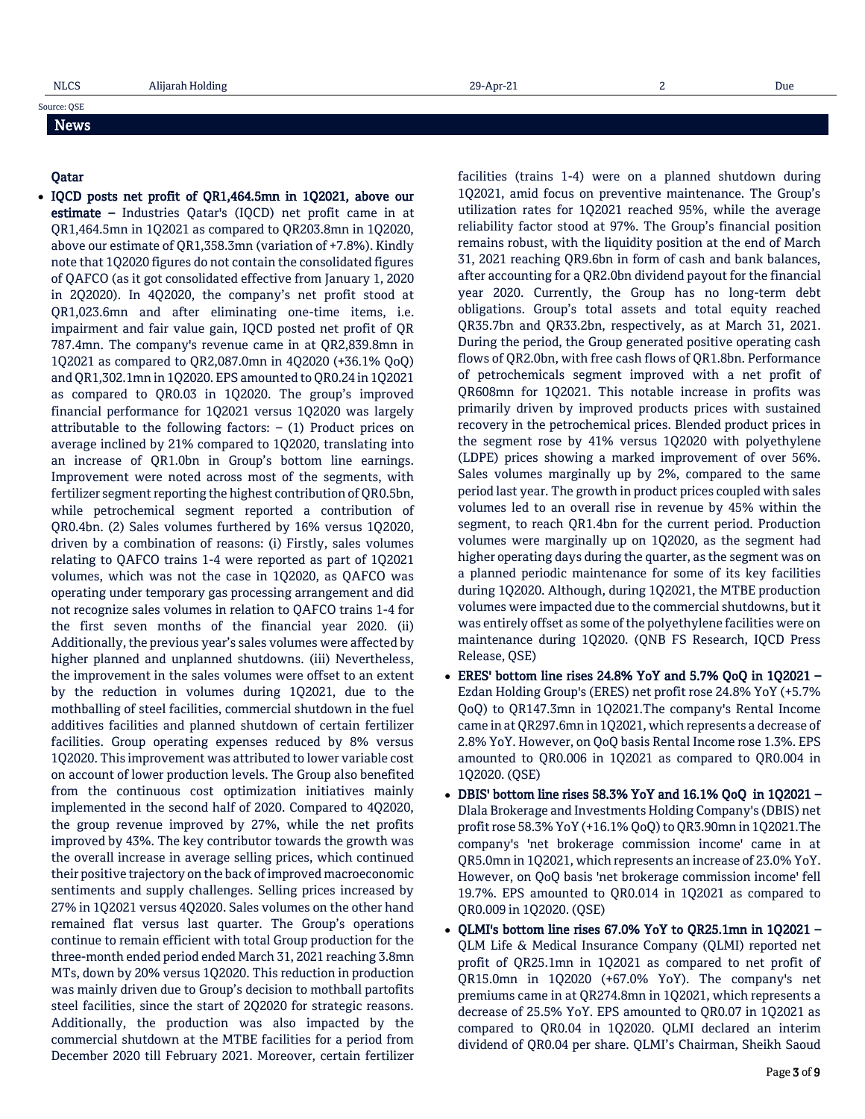# Source: QSE News

#### Qatar

 IQCD posts net profit of QR1,464.5mn in 1Q2021, above our estimate – Industries Qatar's (IQCD) net profit came in at QR1,464.5mn in 1Q2021 as compared to QR203.8mn in 1Q2020, above our estimate of QR1,358.3mn (variation of +7.8%). Kindly note that 1Q2020 figures do not contain the consolidated figures of QAFCO (as it got consolidated effective from January 1, 2020 in 2Q2020). In 4Q2020, the company's net profit stood at QR1,023.6mn and after eliminating one-time items, i.e. impairment and fair value gain, IQCD posted net profit of QR 787.4mn. The company's revenue came in at QR2,839.8mn in 1Q2021 as compared to QR2,087.0mn in 4Q2020 (+36.1% QoQ) and QR1,302.1mn in 1Q2020. EPS amounted to QR0.24 in 1Q2021 as compared to QR0.03 in 1Q2020. The group's improved financial performance for 1Q2021 versus 1Q2020 was largely attributable to the following factors:  $-$  (1) Product prices on average inclined by 21% compared to 1Q2020, translating into an increase of QR1.0bn in Group's bottom line earnings. Improvement were noted across most of the segments, with fertilizer segment reporting the highest contribution of QR0.5bn, while petrochemical segment reported a contribution of QR0.4bn. (2) Sales volumes furthered by 16% versus 1Q2020, driven by a combination of reasons: (i) Firstly, sales volumes relating to QAFCO trains 1-4 were reported as part of 1Q2021 volumes, which was not the case in 1Q2020, as QAFCO was operating under temporary gas processing arrangement and did not recognize sales volumes in relation to QAFCO trains 1-4 for the first seven months of the financial year 2020. (ii) Additionally, the previous year's sales volumes were affected by higher planned and unplanned shutdowns. (iii) Nevertheless, the improvement in the sales volumes were offset to an extent by the reduction in volumes during 1Q2021, due to the mothballing of steel facilities, commercial shutdown in the fuel additives facilities and planned shutdown of certain fertilizer facilities. Group operating expenses reduced by 8% versus 1Q2020. This improvement was attributed to lower variable cost on account of lower production levels. The Group also benefited from the continuous cost optimization initiatives mainly implemented in the second half of 2020. Compared to 4Q2020, the group revenue improved by 27%, while the net profits improved by 43%. The key contributor towards the growth was the overall increase in average selling prices, which continued their positive trajectory on the back of improved macroeconomic sentiments and supply challenges. Selling prices increased by 27% in 1Q2021 versus 4Q2020. Sales volumes on the other hand remained flat versus last quarter. The Group's operations continue to remain efficient with total Group production for the three-month ended period ended March 31, 2021 reaching 3.8mn MTs, down by 20% versus 1Q2020. This reduction in production was mainly driven due to Group's decision to mothball partofits steel facilities, since the start of 2Q2020 for strategic reasons. Additionally, the production was also impacted by the commercial shutdown at the MTBE facilities for a period from December 2020 till February 2021. Moreover, certain fertilizer

facilities (trains 1-4) were on a planned shutdown during 1Q2021, amid focus on preventive maintenance. The Group's utilization rates for 1Q2021 reached 95%, while the average reliability factor stood at 97%. The Group's financial position remains robust, with the liquidity position at the end of March 31, 2021 reaching QR9.6bn in form of cash and bank balances, after accounting for a QR2.0bn dividend payout for the financial year 2020. Currently, the Group has no long-term debt obligations. Group's total assets and total equity reached QR35.7bn and QR33.2bn, respectively, as at March 31, 2021. During the period, the Group generated positive operating cash flows of QR2.0bn, with free cash flows of QR1.8bn. Performance of petrochemicals segment improved with a net profit of QR608mn for 1Q2021. This notable increase in profits was primarily driven by improved products prices with sustained recovery in the petrochemical prices. Blended product prices in the segment rose by 41% versus 1Q2020 with polyethylene (LDPE) prices showing a marked improvement of over 56%. Sales volumes marginally up by 2%, compared to the same period last year. The growth in product prices coupled with sales volumes led to an overall rise in revenue by 45% within the segment, to reach QR1.4bn for the current period. Production volumes were marginally up on 1Q2020, as the segment had higher operating days during the quarter, as the segment was on a planned periodic maintenance for some of its key facilities during 1Q2020. Although, during 1Q2021, the MTBE production volumes were impacted due to the commercial shutdowns, but it was entirely offset as some of the polyethylene facilities were on maintenance during 1Q2020. (QNB FS Research, IQCD Press Release, QSE)

- ERES' bottom line rises 24.8% YoY and 5.7% QoQ in 1Q2021 Ezdan Holding Group's (ERES) net profit rose 24.8% YoY (+5.7% QoQ) to QR147.3mn in 1Q2021.The company's Rental Income came in at QR297.6mn in 1Q2021, which represents a decrease of 2.8% YoY. However, on QoQ basis Rental Income rose 1.3%. EPS amounted to QR0.006 in 1Q2021 as compared to QR0.004 in 1Q2020. (QSE)
- DBIS' bottom line rises 58.3% YoY and 16.1% QoQ in 1Q2021 Dlala Brokerage and Investments Holding Company's (DBIS) net profit rose 58.3% YoY (+16.1% QoQ) to QR3.90mn in 1Q2021.The company's 'net brokerage commission income' came in at QR5.0mn in 1Q2021, which represents an increase of 23.0% YoY. However, on QoQ basis 'net brokerage commission income' fell 19.7%. EPS amounted to QR0.014 in 1Q2021 as compared to QR0.009 in 1Q2020. (QSE)
- QLMI's bottom line rises 67.0% YoY to QR25.1mn in 1Q2021 QLM Life & Medical Insurance Company (QLMI) reported net profit of QR25.1mn in 1Q2021 as compared to net profit of QR15.0mn in 1Q2020 (+67.0% YoY). The company's net premiums came in at QR274.8mn in 1Q2021, which represents a decrease of 25.5% YoY. EPS amounted to QR0.07 in 1Q2021 as compared to QR0.04 in 1Q2020. QLMI declared an interim dividend of QR0.04 per share. QLMI's Chairman, Sheikh Saoud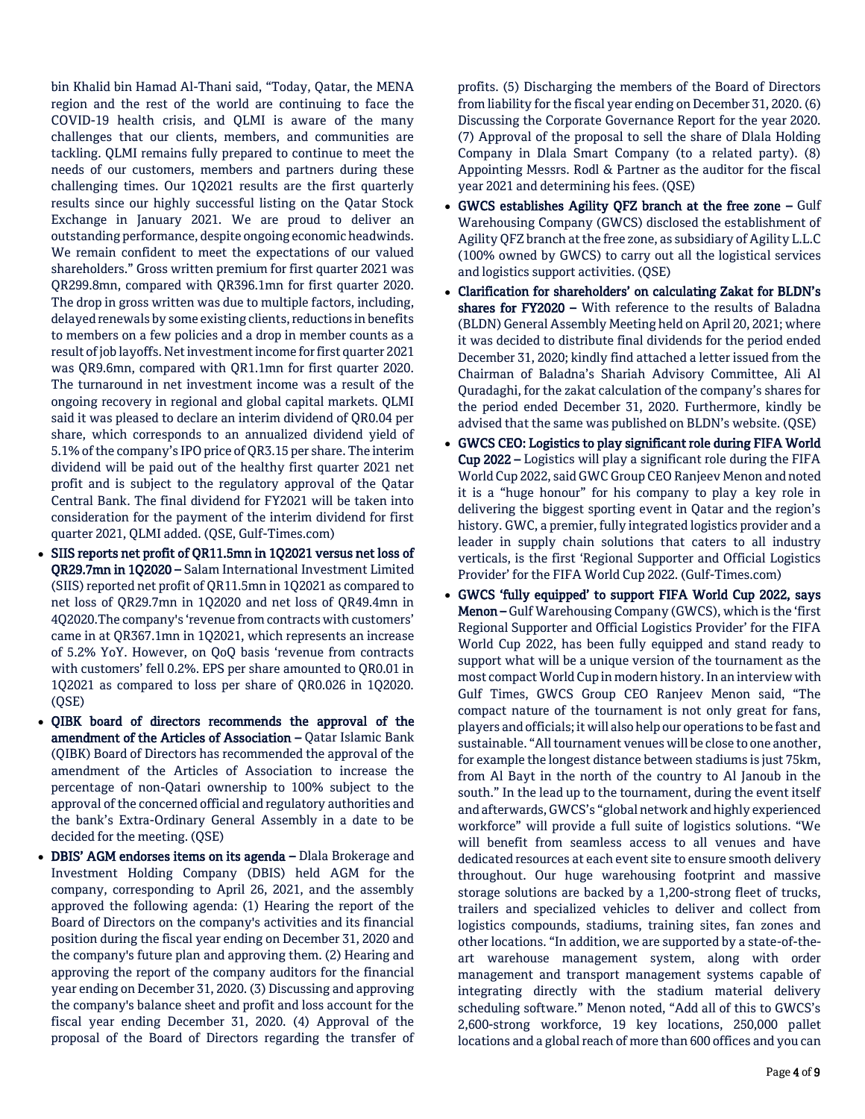bin Khalid bin Hamad Al-Thani said, "Today, Qatar, the MENA region and the rest of the world are continuing to face the COVID-19 health crisis, and QLMI is aware of the many challenges that our clients, members, and communities are tackling. QLMI remains fully prepared to continue to meet the needs of our customers, members and partners during these challenging times. Our 1Q2021 results are the first quarterly results since our highly successful listing on the Qatar Stock Exchange in January 2021. We are proud to deliver an outstanding performance, despite ongoing economic headwinds. We remain confident to meet the expectations of our valued shareholders." Gross written premium for first quarter 2021 was QR299.8mn, compared with QR396.1mn for first quarter 2020. The drop in gross written was due to multiple factors, including, delayed renewals by some existing clients, reductions in benefits to members on a few policies and a drop in member counts as a result of job layoffs. Net investment income for first quarter 2021 was QR9.6mn, compared with QR1.1mn for first quarter 2020. The turnaround in net investment income was a result of the ongoing recovery in regional and global capital markets. QLMI said it was pleased to declare an interim dividend of QR0.04 per share, which corresponds to an annualized dividend yield of 5.1% of the company's IPO price of QR3.15 per share. The interim dividend will be paid out of the healthy first quarter 2021 net profit and is subject to the regulatory approval of the Qatar Central Bank. The final dividend for FY2021 will be taken into consideration for the payment of the interim dividend for first quarter 2021, QLMI added. (QSE, Gulf-Times.com)

- SIIS reports net profit of QR11.5mn in 1Q2021 versus net loss of QR29.7mn in 1Q2020 – Salam International Investment Limited (SIIS) reported net profit of QR11.5mn in 1Q2021 as compared to net loss of QR29.7mn in 1Q2020 and net loss of QR49.4mn in 4Q2020.The company's 'revenue from contracts with customers' came in at QR367.1mn in 1Q2021, which represents an increase of 5.2% YoY. However, on QoQ basis 'revenue from contracts with customers' fell 0.2%. EPS per share amounted to QR0.01 in 1Q2021 as compared to loss per share of QR0.026 in 1Q2020. (QSE)
- QIBK board of directors recommends the approval of the amendment of the Articles of Association – Qatar Islamic Bank (QIBK) Board of Directors has recommended the approval of the amendment of the Articles of Association to increase the percentage of non-Qatari ownership to 100% subject to the approval of the concerned official and regulatory authorities and the bank's Extra-Ordinary General Assembly in a date to be decided for the meeting. (QSE)
- DBIS' AGM endorses items on its agenda Dlala Brokerage and Investment Holding Company (DBIS) held AGM for the company, corresponding to April 26, 2021, and the assembly approved the following agenda: (1) Hearing the report of the Board of Directors on the company's activities and its financial position during the fiscal year ending on December 31, 2020 and the company's future plan and approving them. (2) Hearing and approving the report of the company auditors for the financial year ending on December 31, 2020. (3) Discussing and approving the company's balance sheet and profit and loss account for the fiscal year ending December 31, 2020. (4) Approval of the proposal of the Board of Directors regarding the transfer of

profits. (5) Discharging the members of the Board of Directors from liability for the fiscal year ending on December 31, 2020. (6) Discussing the Corporate Governance Report for the year 2020. (7) Approval of the proposal to sell the share of Dlala Holding Company in Dlala Smart Company (to a related party). (8) Appointing Messrs. Rodl & Partner as the auditor for the fiscal year 2021 and determining his fees. (QSE)

- GWCS establishes Agility QFZ branch at the free zone Gulf Warehousing Company (GWCS) disclosed the establishment of Agility QFZ branch at the free zone, as subsidiary of Agility L.L.C (100% owned by GWCS) to carry out all the logistical services and logistics support activities. (QSE)
- Clarification for shareholders' on calculating Zakat for BLDN's shares for FY2020 - With reference to the results of Baladna (BLDN) General Assembly Meeting held on April 20, 2021; where it was decided to distribute final dividends for the period ended December 31, 2020; kindly find attached a letter issued from the Chairman of Baladna's Shariah Advisory Committee, Ali Al Quradaghi, for the zakat calculation of the company's shares for the period ended December 31, 2020. Furthermore, kindly be advised that the same was published on BLDN's website. (QSE)
- GWCS CEO: Logistics to play significant role during FIFA World Cup 2022 – Logistics will play a significant role during the FIFA World Cup 2022, said GWC Group CEO Ranjeev Menon and noted it is a "huge honour" for his company to play a key role in delivering the biggest sporting event in Qatar and the region's history. GWC, a premier, fully integrated logistics provider and a leader in supply chain solutions that caters to all industry verticals, is the first 'Regional Supporter and Official Logistics Provider' for the FIFA World Cup 2022. (Gulf-Times.com)
- GWCS 'fully equipped' to support FIFA World Cup 2022, says Menon – Gulf Warehousing Company (GWCS), which is the 'first Regional Supporter and Official Logistics Provider' for the FIFA World Cup 2022, has been fully equipped and stand ready to support what will be a unique version of the tournament as the most compact World Cup in modern history. In an interview with Gulf Times, GWCS Group CEO Ranjeev Menon said, "The compact nature of the tournament is not only great for fans, players and officials; it will also help our operations to be fast and sustainable. "All tournament venues will be close to one another, for example the longest distance between stadiums is just 75km, from Al Bayt in the north of the country to Al Janoub in the south." In the lead up to the tournament, during the event itself and afterwards, GWCS's "global network and highly experienced workforce" will provide a full suite of logistics solutions. "We will benefit from seamless access to all venues and have dedicated resources at each event site to ensure smooth delivery throughout. Our huge warehousing footprint and massive storage solutions are backed by a 1,200-strong fleet of trucks, trailers and specialized vehicles to deliver and collect from logistics compounds, stadiums, training sites, fan zones and other locations. "In addition, we are supported by a state-of-theart warehouse management system, along with order management and transport management systems capable of integrating directly with the stadium material delivery scheduling software." Menon noted, "Add all of this to GWCS's 2,600-strong workforce, 19 key locations, 250,000 pallet locations and a global reach of more than 600 offices and you can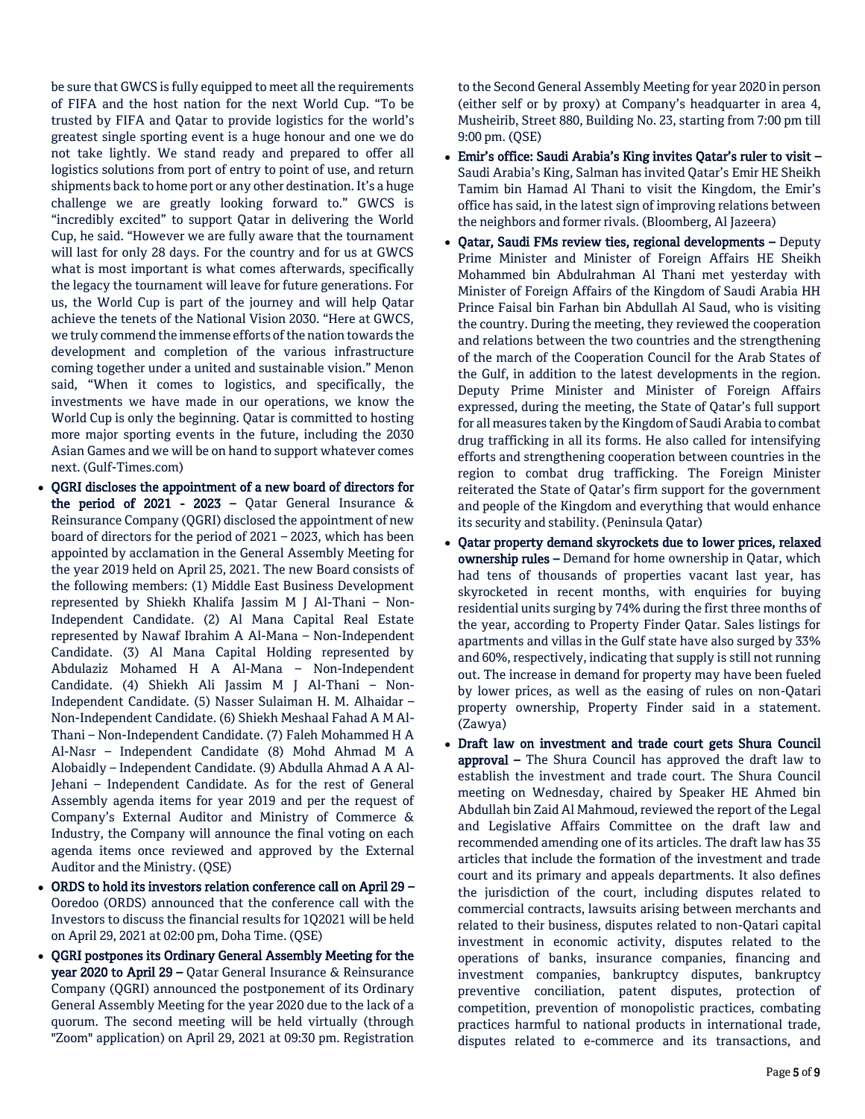be sure that GWCS is fully equipped to meet all the requirements of FIFA and the host nation for the next World Cup. "To be trusted by FIFA and Qatar to provide logistics for the world's greatest single sporting event is a huge honour and one we do not take lightly. We stand ready and prepared to offer all logistics solutions from port of entry to point of use, and return shipments back to home port or any other destination. It's a huge challenge we are greatly looking forward to." GWCS is "incredibly excited" to support Qatar in delivering the World Cup, he said. "However we are fully aware that the tournament will last for only 28 days. For the country and for us at GWCS what is most important is what comes afterwards, specifically the legacy the tournament will leave for future generations. For us, the World Cup is part of the journey and will help Qatar achieve the tenets of the National Vision 2030. "Here at GWCS, we truly commend the immense efforts of the nation towards the development and completion of the various infrastructure coming together under a united and sustainable vision." Menon said, "When it comes to logistics, and specifically, the investments we have made in our operations, we know the World Cup is only the beginning. Qatar is committed to hosting more major sporting events in the future, including the 2030 Asian Games and we will be on hand to support whatever comes next. (Gulf-Times.com)

- QGRI discloses the appointment of a new board of directors for the period of 2021 - 2023 - Oatar General Insurance  $\&$ Reinsurance Company (QGRI) disclosed the appointment of new board of directors for the period of 2021 – 2023, which has been appointed by acclamation in the General Assembly Meeting for the year 2019 held on April 25, 2021. The new Board consists of the following members: (1) Middle East Business Development represented by Shiekh Khalifa Jassim M J Al-Thani – Non-Independent Candidate. (2) Al Mana Capital Real Estate represented by Nawaf Ibrahim A Al-Mana – Non-Independent Candidate. (3) Al Mana Capital Holding represented by Abdulaziz Mohamed H A Al-Mana – Non-Independent Candidate. (4) Shiekh Ali Jassim M J Al-Thani – Non-Independent Candidate. (5) Nasser Sulaiman H. M. Alhaidar – Non-Independent Candidate. (6) Shiekh Meshaal Fahad A M Al-Thani – Non-Independent Candidate. (7) Faleh Mohammed H A Al-Nasr – Independent Candidate (8) Mohd Ahmad M A Alobaidly – Independent Candidate. (9) Abdulla Ahmad A A Al-Jehani – Independent Candidate. As for the rest of General Assembly agenda items for year 2019 and per the request of Company's External Auditor and Ministry of Commerce & Industry, the Company will announce the final voting on each agenda items once reviewed and approved by the External Auditor and the Ministry. (QSE)
- ORDS to hold its investors relation conference call on April 29 Ooredoo (ORDS) announced that the conference call with the Investors to discuss the financial results for 1Q2021 will be held on April 29, 2021 at 02:00 pm, Doha Time. (QSE)
- QGRI postpones its Ordinary General Assembly Meeting for the year 2020 to April 29 – Qatar General Insurance & Reinsurance Company (QGRI) announced the postponement of its Ordinary General Assembly Meeting for the year 2020 due to the lack of a quorum. The second meeting will be held virtually (through "Zoom" application) on April 29, 2021 at 09:30 pm. Registration

to the Second General Assembly Meeting for year 2020 in person (either self or by proxy) at Company's headquarter in area 4, Musheirib, Street 880, Building No. 23, starting from 7:00 pm till 9:00 pm. (QSE)

- Emir's office: Saudi Arabia's King invites Qatar's ruler to visit Saudi Arabia's King, Salman has invited Qatar's Emir HE Sheikh Tamim bin Hamad Al Thani to visit the Kingdom, the Emir's office has said, in the latest sign of improving relations between the neighbors and former rivals. (Bloomberg, Al Jazeera)
- Qatar, Saudi FMs review ties, regional developments Deputy Prime Minister and Minister of Foreign Affairs HE Sheikh Mohammed bin Abdulrahman Al Thani met yesterday with Minister of Foreign Affairs of the Kingdom of Saudi Arabia HH Prince Faisal bin Farhan bin Abdullah Al Saud, who is visiting the country. During the meeting, they reviewed the cooperation and relations between the two countries and the strengthening of the march of the Cooperation Council for the Arab States of the Gulf, in addition to the latest developments in the region. Deputy Prime Minister and Minister of Foreign Affairs expressed, during the meeting, the State of Qatar's full support for all measures taken by the Kingdom of Saudi Arabia to combat drug trafficking in all its forms. He also called for intensifying efforts and strengthening cooperation between countries in the region to combat drug trafficking. The Foreign Minister reiterated the State of Qatar's firm support for the government and people of the Kingdom and everything that would enhance its security and stability. (Peninsula Qatar)
- Qatar property demand skyrockets due to lower prices, relaxed ownership rules – Demand for home ownership in Qatar, which had tens of thousands of properties vacant last year, has skyrocketed in recent months, with enquiries for buying residential units surging by 74% during the first three months of the year, according to Property Finder Qatar. Sales listings for apartments and villas in the Gulf state have also surged by 33% and 60%, respectively, indicating that supply is still not running out. The increase in demand for property may have been fueled by lower prices, as well as the easing of rules on non-Qatari property ownership, Property Finder said in a statement. (Zawya)
- Draft law on investment and trade court gets Shura Council approval – The Shura Council has approved the draft law to establish the investment and trade court. The Shura Council meeting on Wednesday, chaired by Speaker HE Ahmed bin Abdullah bin Zaid Al Mahmoud, reviewed the report of the Legal and Legislative Affairs Committee on the draft law and recommended amending one of its articles. The draft law has 35 articles that include the formation of the investment and trade court and its primary and appeals departments. It also defines the jurisdiction of the court, including disputes related to commercial contracts, lawsuits arising between merchants and related to their business, disputes related to non-Qatari capital investment in economic activity, disputes related to the operations of banks, insurance companies, financing and investment companies, bankruptcy disputes, bankruptcy preventive conciliation, patent disputes, protection of competition, prevention of monopolistic practices, combating practices harmful to national products in international trade, disputes related to e-commerce and its transactions, and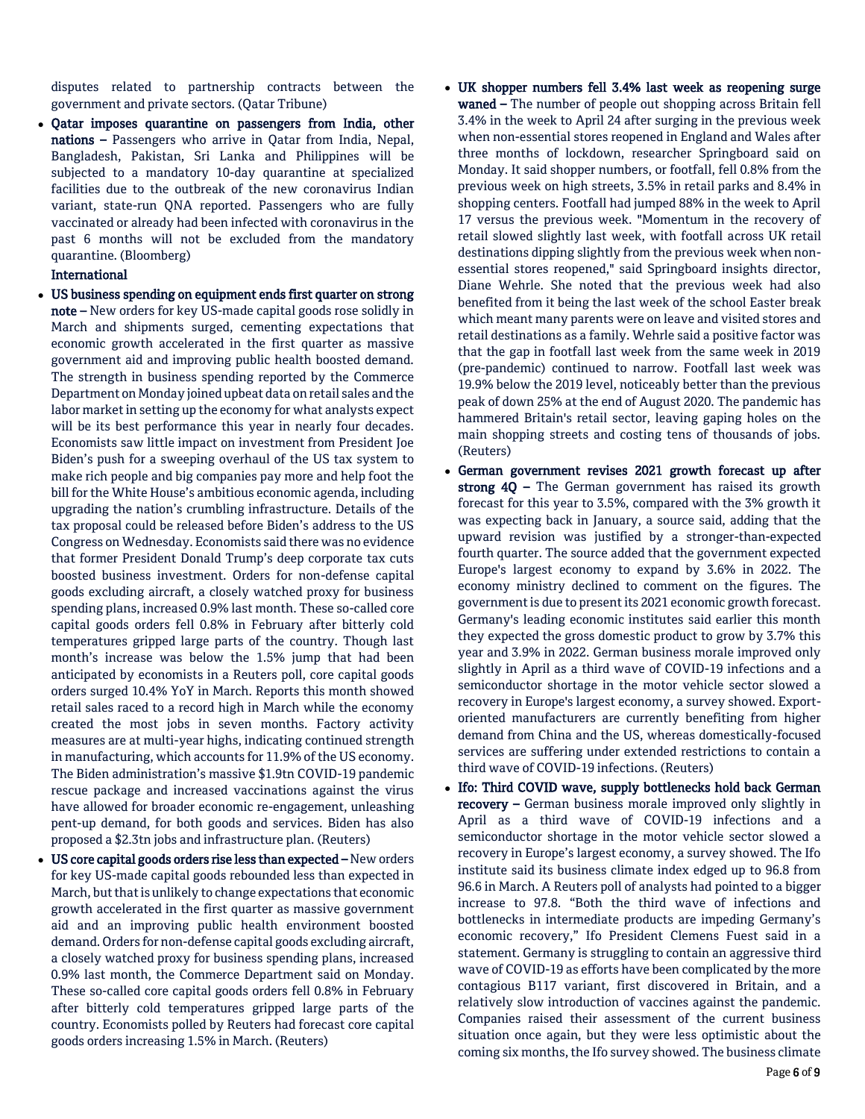disputes related to partnership contracts between the government and private sectors. (Qatar Tribune)

 Qatar imposes quarantine on passengers from India, other nations – Passengers who arrive in Qatar from India, Nepal, Bangladesh, Pakistan, Sri Lanka and Philippines will be subjected to a mandatory 10-day quarantine at specialized facilities due to the outbreak of the new coronavirus Indian variant, state-run QNA reported. Passengers who are fully vaccinated or already had been infected with coronavirus in the past 6 months will not be excluded from the mandatory quarantine. (Bloomberg)

# International

- US business spending on equipment ends first quarter on strong note – New orders for key US-made capital goods rose solidly in March and shipments surged, cementing expectations that economic growth accelerated in the first quarter as massive government aid and improving public health boosted demand. The strength in business spending reported by the Commerce Department on Monday joined upbeat data on retail sales and the labor market in setting up the economy for what analysts expect will be its best performance this year in nearly four decades. Economists saw little impact on investment from President Joe Biden's push for a sweeping overhaul of the US tax system to make rich people and big companies pay more and help foot the bill for the White House's ambitious economic agenda, including upgrading the nation's crumbling infrastructure. Details of the tax proposal could be released before Biden's address to the US Congress on Wednesday. Economists said there was no evidence that former President Donald Trump's deep corporate tax cuts boosted business investment. Orders for non-defense capital goods excluding aircraft, a closely watched proxy for business spending plans, increased 0.9% last month. These so-called core capital goods orders fell 0.8% in February after bitterly cold temperatures gripped large parts of the country. Though last month's increase was below the 1.5% jump that had been anticipated by economists in a Reuters poll, core capital goods orders surged 10.4% YoY in March. Reports this month showed retail sales raced to a record high in March while the economy created the most jobs in seven months. Factory activity measures are at multi-year highs, indicating continued strength in manufacturing, which accounts for 11.9% of the US economy. The Biden administration's massive \$1.9tn COVID-19 pandemic rescue package and increased vaccinations against the virus have allowed for broader economic re-engagement, unleashing pent-up demand, for both goods and services. Biden has also proposed a \$2.3tn jobs and infrastructure plan. (Reuters)
- US core capital goods orders rise less than expected New orders for key US-made capital goods rebounded less than expected in March, but that is unlikely to change expectations that economic growth accelerated in the first quarter as massive government aid and an improving public health environment boosted demand. Orders for non-defense capital goods excluding aircraft, a closely watched proxy for business spending plans, increased 0.9% last month, the Commerce Department said on Monday. These so-called core capital goods orders fell 0.8% in February after bitterly cold temperatures gripped large parts of the country. Economists polled by Reuters had forecast core capital goods orders increasing 1.5% in March. (Reuters)
- UK shopper numbers fell 3.4% last week as reopening surge waned – The number of people out shopping across Britain fell 3.4% in the week to April 24 after surging in the previous week when non-essential stores reopened in England and Wales after three months of lockdown, researcher Springboard said on Monday. It said shopper numbers, or footfall, fell 0.8% from the previous week on high streets, 3.5% in retail parks and 8.4% in shopping centers. Footfall had jumped 88% in the week to April 17 versus the previous week. "Momentum in the recovery of retail slowed slightly last week, with footfall across UK retail destinations dipping slightly from the previous week when nonessential stores reopened," said Springboard insights director, Diane Wehrle. She noted that the previous week had also benefited from it being the last week of the school Easter break which meant many parents were on leave and visited stores and retail destinations as a family. Wehrle said a positive factor was that the gap in footfall last week from the same week in 2019 (pre-pandemic) continued to narrow. Footfall last week was 19.9% below the 2019 level, noticeably better than the previous peak of down 25% at the end of August 2020. The pandemic has hammered Britain's retail sector, leaving gaping holes on the main shopping streets and costing tens of thousands of jobs. (Reuters)
- German government revises 2021 growth forecast up after strong 4Q - The German government has raised its growth forecast for this year to 3.5%, compared with the 3% growth it was expecting back in January, a source said, adding that the upward revision was justified by a stronger-than-expected fourth quarter. The source added that the government expected Europe's largest economy to expand by 3.6% in 2022. The economy ministry declined to comment on the figures. The government is due to present its 2021 economic growth forecast. Germany's leading economic institutes said earlier this month they expected the gross domestic product to grow by 3.7% this year and 3.9% in 2022. German business morale improved only slightly in April as a third wave of COVID-19 infections and a semiconductor shortage in the motor vehicle sector slowed a recovery in Europe's largest economy, a survey showed. Exportoriented manufacturers are currently benefiting from higher demand from China and the US, whereas domestically-focused services are suffering under extended restrictions to contain a third wave of COVID-19 infections. (Reuters)
- Ifo: Third COVID wave, supply bottlenecks hold back German recovery – German business morale improved only slightly in April as a third wave of COVID-19 infections and a semiconductor shortage in the motor vehicle sector slowed a recovery in Europe's largest economy, a survey showed. The Ifo institute said its business climate index edged up to 96.8 from 96.6 in March. A Reuters poll of analysts had pointed to a bigger increase to 97.8. "Both the third wave of infections and bottlenecks in intermediate products are impeding Germany's economic recovery," Ifo President Clemens Fuest said in a statement. Germany is struggling to contain an aggressive third wave of COVID-19 as efforts have been complicated by the more contagious B117 variant, first discovered in Britain, and a relatively slow introduction of vaccines against the pandemic. Companies raised their assessment of the current business situation once again, but they were less optimistic about the coming six months, the Ifo survey showed. The business climate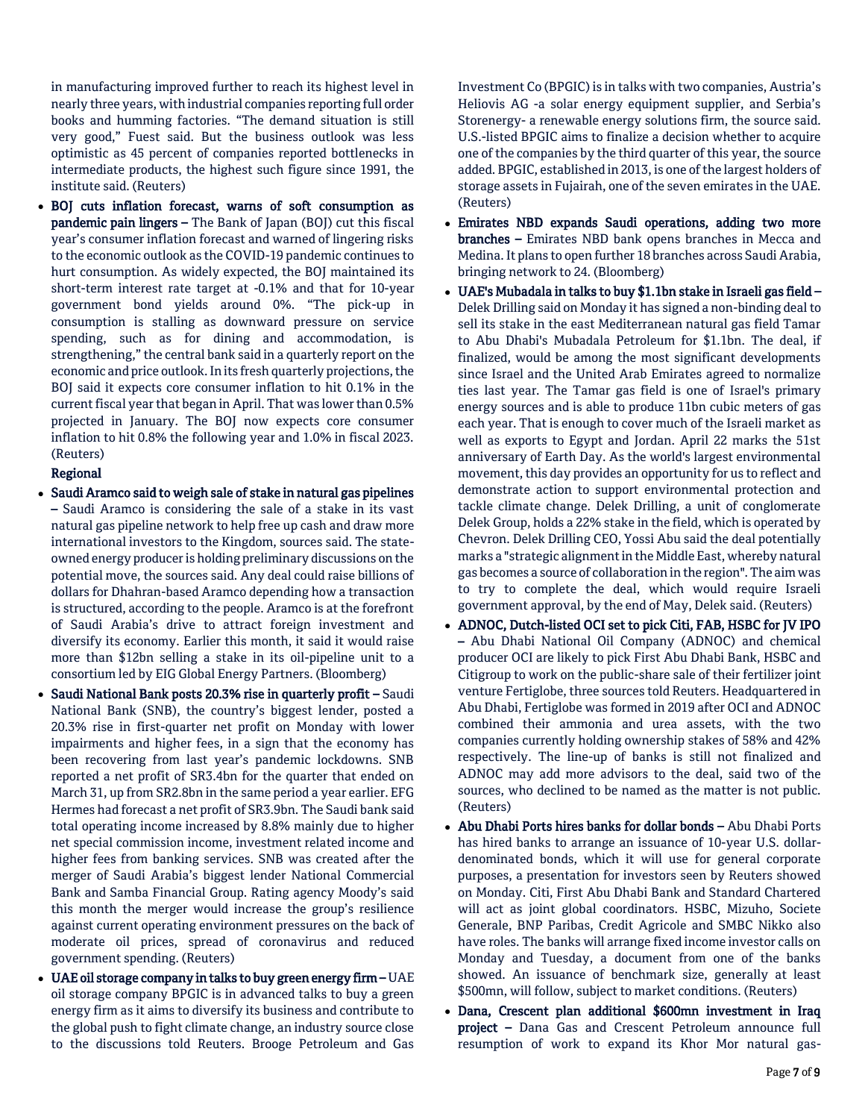in manufacturing improved further to reach its highest level in nearly three years, with industrial companies reporting full order books and humming factories. "The demand situation is still very good," Fuest said. But the business outlook was less optimistic as 45 percent of companies reported bottlenecks in intermediate products, the highest such figure since 1991, the institute said. (Reuters)

 BOJ cuts inflation forecast, warns of soft consumption as pandemic pain lingers – The Bank of Japan (BOJ) cut this fiscal year's consumer inflation forecast and warned of lingering risks to the economic outlook as the COVID-19 pandemic continues to hurt consumption. As widely expected, the BOJ maintained its short-term interest rate target at -0.1% and that for 10-year government bond yields around 0%. "The pick-up in consumption is stalling as downward pressure on service spending, such as for dining and accommodation, is strengthening," the central bank said in a quarterly report on the economic and price outlook. In its fresh quarterly projections, the BOJ said it expects core consumer inflation to hit 0.1% in the current fiscal year that began in April. That was lower than 0.5% projected in January. The BOJ now expects core consumer inflation to hit 0.8% the following year and 1.0% in fiscal 2023. (Reuters)

# Regional

- Saudi Aramco said to weigh sale of stake in natural gas pipelines – Saudi Aramco is considering the sale of a stake in its vast natural gas pipeline network to help free up cash and draw more international investors to the Kingdom, sources said. The stateowned energy producer is holding preliminary discussions on the potential move, the sources said. Any deal could raise billions of dollars for Dhahran-based Aramco depending how a transaction is structured, according to the people. Aramco is at the forefront of Saudi Arabia's drive to attract foreign investment and diversify its economy. Earlier this month, it said it would raise more than \$12bn selling a stake in its oil-pipeline unit to a consortium led by EIG Global Energy Partners. (Bloomberg)
- Saudi National Bank posts 20.3% rise in quarterly profit Saudi National Bank (SNB), the country's biggest lender, posted a 20.3% rise in first-quarter net profit on Monday with lower impairments and higher fees, in a sign that the economy has been recovering from last year's pandemic lockdowns. SNB reported a net profit of SR3.4bn for the quarter that ended on March 31, up from SR2.8bn in the same period a year earlier. EFG Hermes had forecast a net profit of SR3.9bn. The Saudi bank said total operating income increased by 8.8% mainly due to higher net special commission income, investment related income and higher fees from banking services. SNB was created after the merger of Saudi Arabia's biggest lender National Commercial Bank and Samba Financial Group. Rating agency Moody's said this month the merger would increase the group's resilience against current operating environment pressures on the back of moderate oil prices, spread of coronavirus and reduced government spending. (Reuters)
- UAE oil storage company in talks to buy green energy firm UAE oil storage company BPGIC is in advanced talks to buy a green energy firm as it aims to diversify its business and contribute to the global push to fight climate change, an industry source close to the discussions told Reuters. Brooge Petroleum and Gas

Investment Co (BPGIC) is in talks with two companies, Austria's Heliovis AG -a solar energy equipment supplier, and Serbia's Storenergy- a renewable energy solutions firm, the source said. U.S.-listed BPGIC aims to finalize a decision whether to acquire one of the companies by the third quarter of this year, the source added. BPGIC, established in 2013, is one of the largest holders of storage assets in Fujairah, one of the seven emirates in the UAE. (Reuters)

- Emirates NBD expands Saudi operations, adding two more branches – Emirates NBD bank opens branches in Mecca and Medina. It plans to open further 18 branches across Saudi Arabia, bringing network to 24. (Bloomberg)
- UAE's Mubadala in talks to buy \$1.1bn stake in Israeli gas field Delek Drilling said on Monday it has signed a non-binding deal to sell its stake in the east Mediterranean natural gas field Tamar to Abu Dhabi's Mubadala Petroleum for \$1.1bn. The deal, if finalized, would be among the most significant developments since Israel and the United Arab Emirates agreed to normalize ties last year. The Tamar gas field is one of Israel's primary energy sources and is able to produce 11bn cubic meters of gas each year. That is enough to cover much of the Israeli market as well as exports to Egypt and Jordan. April 22 marks the 51st anniversary of Earth Day. As the world's largest environmental movement, this day provides an opportunity for us to reflect and demonstrate action to support environmental protection and tackle climate change. Delek Drilling, a unit of conglomerate Delek Group, holds a 22% stake in the field, which is operated by Chevron. Delek Drilling CEO, Yossi Abu said the deal potentially marks a "strategic alignment in the Middle East, whereby natural gas becomes a source of collaboration in the region". The aim was to try to complete the deal, which would require Israeli government approval, by the end of May, Delek said. (Reuters)
- ADNOC, Dutch-listed OCI set to pick Citi, FAB, HSBC for JV IPO – Abu Dhabi National Oil Company (ADNOC) and chemical producer OCI are likely to pick First Abu Dhabi Bank, HSBC and Citigroup to work on the public-share sale of their fertilizer joint venture Fertiglobe, three sources told Reuters. Headquartered in Abu Dhabi, Fertiglobe was formed in 2019 after OCI and ADNOC combined their ammonia and urea assets, with the two companies currently holding ownership stakes of 58% and 42% respectively. The line-up of banks is still not finalized and ADNOC may add more advisors to the deal, said two of the sources, who declined to be named as the matter is not public. (Reuters)
- Abu Dhabi Ports hires banks for dollar bonds Abu Dhabi Ports has hired banks to arrange an issuance of 10-year U.S. dollardenominated bonds, which it will use for general corporate purposes, a presentation for investors seen by Reuters showed on Monday. Citi, First Abu Dhabi Bank and Standard Chartered will act as joint global coordinators. HSBC, Mizuho, Societe Generale, BNP Paribas, Credit Agricole and SMBC Nikko also have roles. The banks will arrange fixed income investor calls on Monday and Tuesday, a document from one of the banks showed. An issuance of benchmark size, generally at least \$500mn, will follow, subject to market conditions. (Reuters)
- Dana, Crescent plan additional \$600mn investment in Iraq project – Dana Gas and Crescent Petroleum announce full resumption of work to expand its Khor Mor natural gas-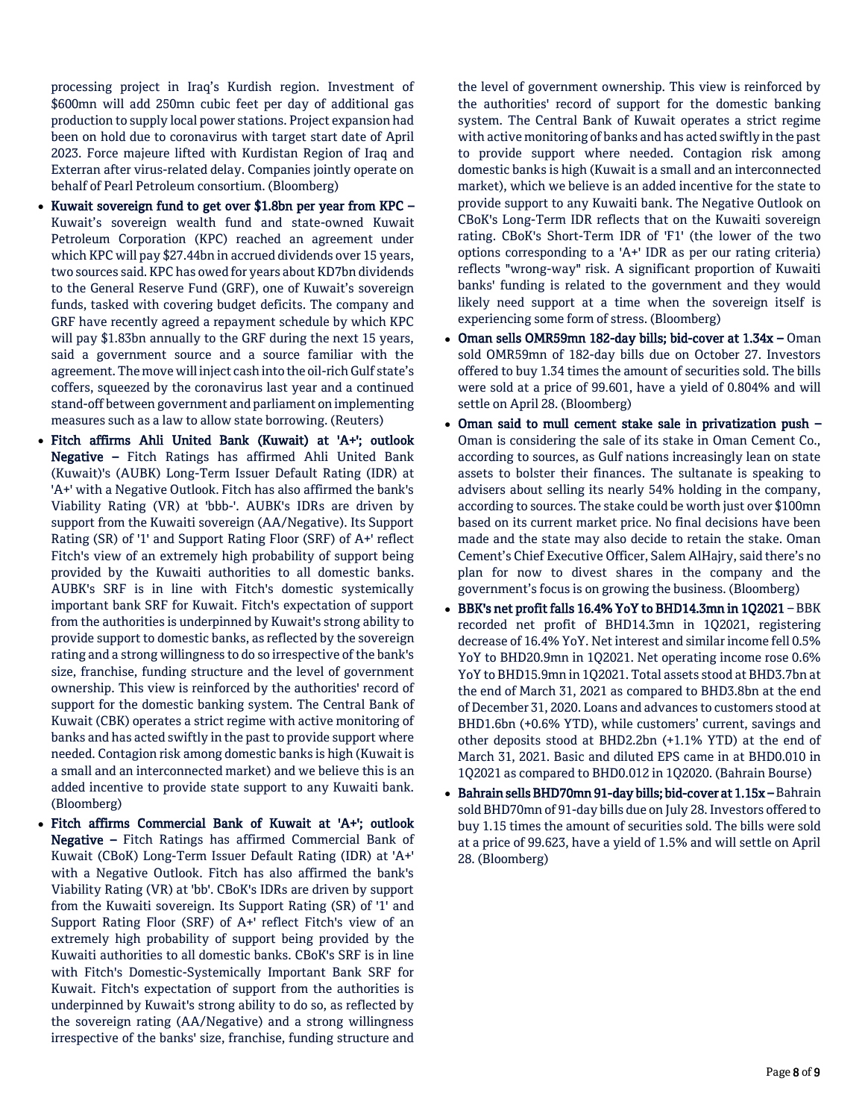processing project in Iraq's Kurdish region. Investment of \$600mn will add 250mn cubic feet per day of additional gas production to supply local power stations. Project expansion had been on hold due to coronavirus with target start date of April 2023. Force majeure lifted with Kurdistan Region of Iraq and Exterran after virus-related delay. Companies jointly operate on behalf of Pearl Petroleum consortium. (Bloomberg)

- Kuwait sovereign fund to get over \$1.8bn per year from KPC Kuwait's sovereign wealth fund and state-owned Kuwait Petroleum Corporation (KPC) reached an agreement under which KPC will pay \$27.44bn in accrued dividends over 15 years, two sources said. KPC has owed for years about KD7bn dividends to the General Reserve Fund (GRF), one of Kuwait's sovereign funds, tasked with covering budget deficits. The company and GRF have recently agreed a repayment schedule by which KPC will pay \$1.83bn annually to the GRF during the next 15 years, said a government source and a source familiar with the agreement. The move will inject cash into the oil-rich Gulf state's coffers, squeezed by the coronavirus last year and a continued stand-off between government and parliament on implementing measures such as a law to allow state borrowing. (Reuters)
- Fitch affirms Ahli United Bank (Kuwait) at 'A+'; outlook Negative – Fitch Ratings has affirmed Ahli United Bank (Kuwait)'s (AUBK) Long-Term Issuer Default Rating (IDR) at 'A+' with a Negative Outlook. Fitch has also affirmed the bank's Viability Rating (VR) at 'bbb-'. AUBK's IDRs are driven by support from the Kuwaiti sovereign (AA/Negative). Its Support Rating (SR) of '1' and Support Rating Floor (SRF) of A+' reflect Fitch's view of an extremely high probability of support being provided by the Kuwaiti authorities to all domestic banks. AUBK's SRF is in line with Fitch's domestic systemically important bank SRF for Kuwait. Fitch's expectation of support from the authorities is underpinned by Kuwait's strong ability to provide support to domestic banks, as reflected by the sovereign rating and a strong willingness to do so irrespective of the bank's size, franchise, funding structure and the level of government ownership. This view is reinforced by the authorities' record of support for the domestic banking system. The Central Bank of Kuwait (CBK) operates a strict regime with active monitoring of banks and has acted swiftly in the past to provide support where needed. Contagion risk among domestic banks is high (Kuwait is a small and an interconnected market) and we believe this is an added incentive to provide state support to any Kuwaiti bank. (Bloomberg)
- Fitch affirms Commercial Bank of Kuwait at 'A+'; outlook Negative – Fitch Ratings has affirmed Commercial Bank of Kuwait (CBoK) Long-Term Issuer Default Rating (IDR) at 'A+' with a Negative Outlook. Fitch has also affirmed the bank's Viability Rating (VR) at 'bb'. CBoK's IDRs are driven by support from the Kuwaiti sovereign. Its Support Rating (SR) of '1' and Support Rating Floor (SRF) of A+' reflect Fitch's view of an extremely high probability of support being provided by the Kuwaiti authorities to all domestic banks. CBoK's SRF is in line with Fitch's Domestic-Systemically Important Bank SRF for Kuwait. Fitch's expectation of support from the authorities is underpinned by Kuwait's strong ability to do so, as reflected by the sovereign rating (AA/Negative) and a strong willingness irrespective of the banks' size, franchise, funding structure and

the level of government ownership. This view is reinforced by the authorities' record of support for the domestic banking system. The Central Bank of Kuwait operates a strict regime with active monitoring of banks and has acted swiftly in the past to provide support where needed. Contagion risk among domestic banks is high (Kuwait is a small and an interconnected market), which we believe is an added incentive for the state to provide support to any Kuwaiti bank. The Negative Outlook on CBoK's Long-Term IDR reflects that on the Kuwaiti sovereign rating. CBoK's Short-Term IDR of 'F1' (the lower of the two options corresponding to a 'A+' IDR as per our rating criteria) reflects "wrong-way" risk. A significant proportion of Kuwaiti banks' funding is related to the government and they would likely need support at a time when the sovereign itself is experiencing some form of stress. (Bloomberg)

- Oman sells OMR59mn 182-day bills; bid-cover at 1.34x Oman sold OMR59mn of 182-day bills due on October 27. Investors offered to buy 1.34 times the amount of securities sold. The bills were sold at a price of 99.601, have a yield of 0.804% and will settle on April 28. (Bloomberg)
- Oman said to mull cement stake sale in privatization push Oman is considering the sale of its stake in Oman Cement Co., according to sources, as Gulf nations increasingly lean on state assets to bolster their finances. The sultanate is speaking to advisers about selling its nearly 54% holding in the company, according to sources. The stake could be worth just over \$100mn based on its current market price. No final decisions have been made and the state may also decide to retain the stake. Oman Cement's Chief Executive Officer, Salem AlHajry, said there's no plan for now to divest shares in the company and the government's focus is on growing the business. (Bloomberg)
- BBK's net profit falls 16.4% YoY to BHD14.3mn in 1Q2021 BBK recorded net profit of BHD14.3mn in 1Q2021, registering decrease of 16.4% YoY. Net interest and similar income fell 0.5% YoY to BHD20.9mn in 1Q2021. Net operating income rose 0.6% YoY to BHD15.9mn in 1Q2021. Total assets stood at BHD3.7bn at the end of March 31, 2021 as compared to BHD3.8bn at the end of December 31, 2020. Loans and advances to customers stood at BHD1.6bn (+0.6% YTD), while customers' current, savings and other deposits stood at BHD2.2bn (+1.1% YTD) at the end of March 31, 2021. Basic and diluted EPS came in at BHD0.010 in 1Q2021 as compared to BHD0.012 in 1Q2020. (Bahrain Bourse)
- Bahrain sells BHD70mn 91-day bills; bid-cover at 1.15x Bahrain sold BHD70mn of 91-day bills due on July 28. Investors offered to buy 1.15 times the amount of securities sold. The bills were sold at a price of 99.623, have a yield of 1.5% and will settle on April 28. (Bloomberg)